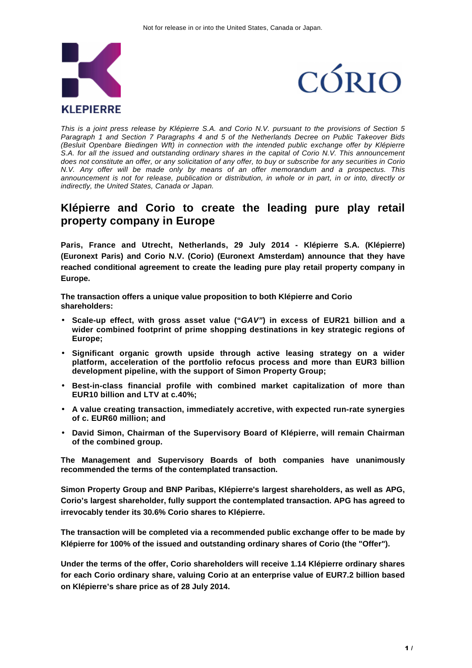



This is a joint press release by Klépierre S.A. and Corio N.V. pursuant to the provisions of Section 5 Paragraph 1 and Section 7 Paragraphs 4 and 5 of the Netherlands Decree on Public Takeover Bids (Besluit Openbare Biedingen Wft) in connection with the intended public exchange offer by Klépierre S.A. for all the issued and outstanding ordinary shares in the capital of Corio N.V. This announcement does not constitute an offer, or any solicitation of any offer, to buy or subscribe for any securities in Corio N.V. Any offer will be made only by means of an offer memorandum and a prospectus. This announcement is not for release, publication or distribution, in whole or in part, in or into, directly or indirectly, the United States, Canada or Japan.

# **Klépierre and Corio to create the leading pure play retail property company in Europe**

**Paris, France and Utrecht, Netherlands, 29 July 2014 - Klépierre S.A. (Klépierre) (Euronext Paris) and Corio N.V. (Corio) (Euronext Amsterdam) announce that they have reached conditional agreement to create the leading pure play retail property company in Europe.** 

**The transaction offers a unique value proposition to both Klépierre and Corio shareholders:** 

- **Scale-up effect, with gross asset value ("GAV") in excess of EUR21 billion and a wider combined footprint of prime shopping destinations in key strategic regions of Europe;**
- **Significant organic growth upside through active leasing strategy on a wider platform, acceleration of the portfolio refocus process and more than EUR3 billion development pipeline, with the support of Simon Property Group;**
- **Best-in-class financial profile with combined market capitalization of more than EUR10 billion and LTV at c.40%;**
- **A value creating transaction, immediately accretive, with expected run-rate synergies of c. EUR60 million; and**
- **David Simon, Chairman of the Supervisory Board of Klépierre, will remain Chairman of the combined group.**

**The Management and Supervisory Boards of both companies have unanimously recommended the terms of the contemplated transaction.** 

**Simon Property Group and BNP Paribas, Klépierre's largest shareholders, as well as APG, Corio's largest shareholder, fully support the contemplated transaction. APG has agreed to irrevocably tender its 30.6% Corio shares to Klépierre.** 

**The transaction will be completed via a recommended public exchange offer to be made by Klépierre for 100% of the issued and outstanding ordinary shares of Corio (the "Offer").** 

**Under the terms of the offer, Corio shareholders will receive 1.14 Klépierre ordinary shares for each Corio ordinary share, valuing Corio at an enterprise value of EUR7.2 billion based on Klépierre's share price as of 28 July 2014.**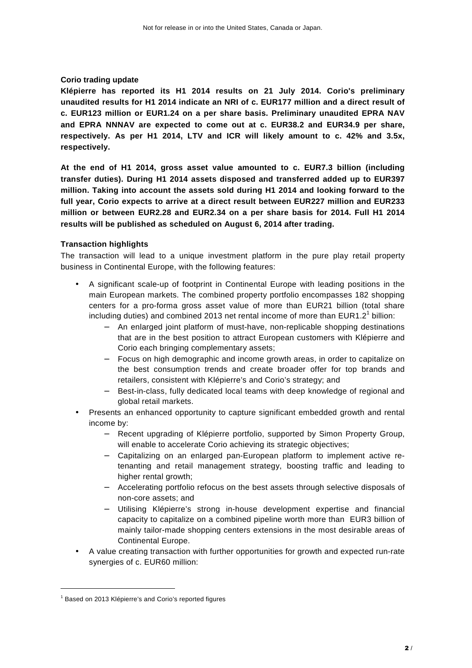# **Corio trading update**

**Klépierre has reported its H1 2014 results on 21 July 2014. Corio's preliminary unaudited results for H1 2014 indicate an NRI of c. EUR177 million and a direct result of c. EUR123 million or EUR1.24 on a per share basis. Preliminary unaudited EPRA NAV and EPRA NNNAV are expected to come out at c. EUR38.2 and EUR34.9 per share, respectively. As per H1 2014, LTV and ICR will likely amount to c. 42% and 3.5x, respectively.** 

**At the end of H1 2014, gross asset value amounted to c. EUR7.3 billion (including transfer duties). During H1 2014 assets disposed and transferred added up to EUR397 million. Taking into account the assets sold during H1 2014 and looking forward to the full year, Corio expects to arrive at a direct result between EUR227 million and EUR233 million or between EUR2.28 and EUR2.34 on a per share basis for 2014. Full H1 2014 results will be published as scheduled on August 6, 2014 after trading.** 

# **Transaction highlights**

The transaction will lead to a unique investment platform in the pure play retail property business in Continental Europe, with the following features:

- A significant scale-up of footprint in Continental Europe with leading positions in the main European markets. The combined property portfolio encompasses 182 shopping centers for a pro-forma gross asset value of more than EUR21 billion (total share including duties) and combined 2013 net rental income of more than EUR1.2<sup>1</sup> billion:
	- − An enlarged joint platform of must-have, non-replicable shopping destinations that are in the best position to attract European customers with Klépierre and Corio each bringing complementary assets;
	- − Focus on high demographic and income growth areas, in order to capitalize on the best consumption trends and create broader offer for top brands and retailers, consistent with Klépierre's and Corio's strategy; and
	- Best-in-class, fully dedicated local teams with deep knowledge of regional and global retail markets.
- Presents an enhanced opportunity to capture significant embedded growth and rental income by:
	- − Recent upgrading of Klépierre portfolio, supported by Simon Property Group, will enable to accelerate Corio achieving its strategic objectives;
	- − Capitalizing on an enlarged pan-European platform to implement active retenanting and retail management strategy, boosting traffic and leading to higher rental growth;
	- − Accelerating portfolio refocus on the best assets through selective disposals of non-core assets; and
	- − Utilising Klépierre's strong in-house development expertise and financial capacity to capitalize on a combined pipeline worth more than EUR3 billion of mainly tailor-made shopping centers extensions in the most desirable areas of Continental Europe.
- A value creating transaction with further opportunities for growth and expected run-rate synergies of c. EUR60 million:

 $\overline{a}$ 

<sup>&</sup>lt;sup>1</sup> Based on 2013 Klépierre's and Corio's reported figures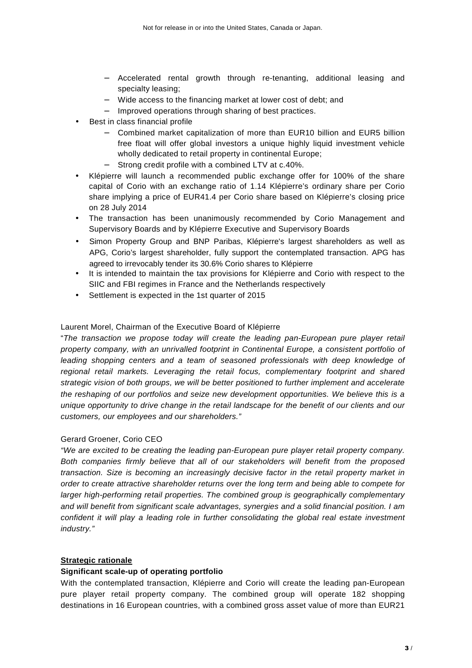- − Accelerated rental growth through re-tenanting, additional leasing and specialty leasing;
- − Wide access to the financing market at lower cost of debt; and
- − Improved operations through sharing of best practices.
- Best in class financial profile
	- − Combined market capitalization of more than EUR10 billion and EUR5 billion free float will offer global investors a unique highly liquid investment vehicle wholly dedicated to retail property in continental Europe;
	- Strong credit profile with a combined LTV at c.40%.
- Klépierre will launch a recommended public exchange offer for 100% of the share capital of Corio with an exchange ratio of 1.14 Klépierre's ordinary share per Corio share implying a price of EUR41.4 per Corio share based on Klépierre's closing price on 28 July 2014
- The transaction has been unanimously recommended by Corio Management and Supervisory Boards and by Klépierre Executive and Supervisory Boards
- Simon Property Group and BNP Paribas, Klépierre's largest shareholders as well as APG, Corio's largest shareholder, fully support the contemplated transaction. APG has agreed to irrevocably tender its 30.6% Corio shares to Klépierre
- It is intended to maintain the tax provisions for Klépierre and Corio with respect to the SIIC and FBI regimes in France and the Netherlands respectively
- Settlement is expected in the 1st quarter of 2015

# Laurent Morel, Chairman of the Executive Board of Klépierre

"The transaction we propose today will create the leading pan-European pure player retail property company, with an unrivalled footprint in Continental Europe, a consistent portfolio of leading shopping centers and a team of seasoned professionals with deep knowledge of regional retail markets. Leveraging the retail focus, complementary footprint and shared strategic vision of both groups, we will be better positioned to further implement and accelerate the reshaping of our portfolios and seize new development opportunities. We believe this is a unique opportunity to drive change in the retail landscape for the benefit of our clients and our customers, our employees and our shareholders."

# Gerard Groener, Corio CEO

"We are excited to be creating the leading pan-European pure player retail property company. Both companies firmly believe that all of our stakeholders will benefit from the proposed transaction. Size is becoming an increasingly decisive factor in the retail property market in order to create attractive shareholder returns over the long term and being able to compete for larger high-performing retail properties. The combined group is geographically complementary and will benefit from significant scale advantages, synergies and a solid financial position. I am confident it will play a leading role in further consolidating the global real estate investment industry."

# **Strategic rationale**

# **Significant scale-up of operating portfolio**

With the contemplated transaction, Klépierre and Corio will create the leading pan-European pure player retail property company. The combined group will operate 182 shopping destinations in 16 European countries, with a combined gross asset value of more than EUR21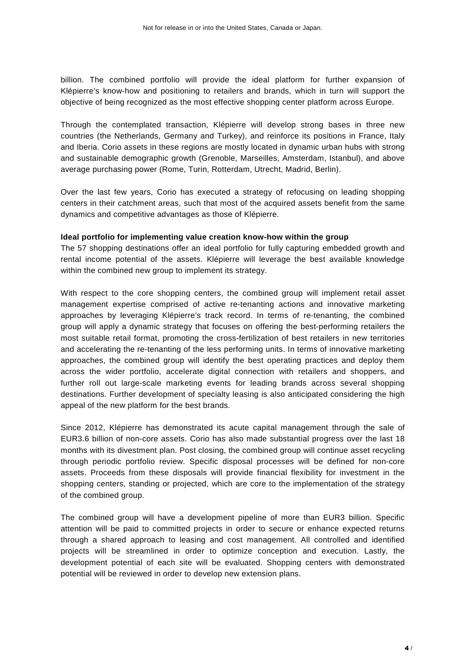billion. The combined portfolio will provide the ideal platform for further expansion of Klépierre's know-how and positioning to retailers and brands, which in turn will support the objective of being recognized as the most effective shopping center platform across Europe.

Through the contemplated transaction, Klépierre will develop strong bases in three new countries (the Netherlands, Germany and Turkey), and reinforce its positions in France, Italy and Iberia. Corio assets in these regions are mostly located in dynamic urban hubs with strong and sustainable demographic growth (Grenoble, Marseilles, Amsterdam, Istanbul), and above average purchasing power (Rome, Turin, Rotterdam, Utrecht, Madrid, Berlin).

Over the last few years, Corio has executed a strategy of refocusing on leading shopping centers in their catchment areas, such that most of the acquired assets benefit from the same dynamics and competitive advantages as those of Klépierre.

### **Ideal portfolio for implementing value creation know-how within the group**

The 57 shopping destinations offer an ideal portfolio for fully capturing embedded growth and rental income potential of the assets. Klépierre will leverage the best available knowledge within the combined new group to implement its strategy.

With respect to the core shopping centers, the combined group will implement retail asset management expertise comprised of active re-tenanting actions and innovative marketing approaches by leveraging Klépierre's track record. In terms of re-tenanting, the combined group will apply a dynamic strategy that focuses on offering the best-performing retailers the most suitable retail format, promoting the cross-fertilization of best retailers in new territories and accelerating the re-tenanting of the less performing units. In terms of innovative marketing approaches, the combined group will identify the best operating practices and deploy them across the wider portfolio, accelerate digital connection with retailers and shoppers, and further roll out large-scale marketing events for leading brands across several shopping destinations. Further development of specialty leasing is also anticipated considering the high appeal of the new platform for the best brands.

Since 2012, Klépierre has demonstrated its acute capital management through the sale of EUR3.6 billion of non-core assets. Corio has also made substantial progress over the last 18 months with its divestment plan. Post closing, the combined group will continue asset recycling through periodic portfolio review. Specific disposal processes will be defined for non-core assets. Proceeds from these disposals will provide financial flexibility for investment in the shopping centers, standing or projected, which are core to the implementation of the strategy of the combined group.

The combined group will have a development pipeline of more than EUR3 billion. Specific attention will be paid to committed projects in order to secure or enhance expected returns through a shared approach to leasing and cost management. All controlled and identified projects will be streamlined in order to optimize conception and execution. Lastly, the development potential of each site will be evaluated. Shopping centers with demonstrated potential will be reviewed in order to develop new extension plans.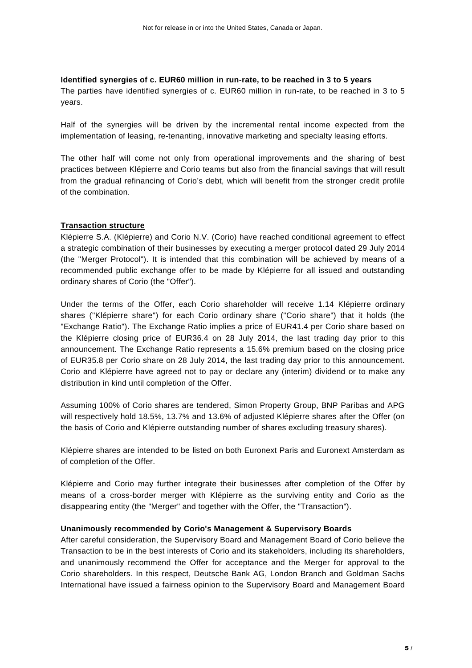#### **Identified synergies of c. EUR60 million in run-rate, to be reached in 3 to 5 years**

The parties have identified synergies of c. EUR60 million in run-rate, to be reached in 3 to 5 years.

Half of the synergies will be driven by the incremental rental income expected from the implementation of leasing, re-tenanting, innovative marketing and specialty leasing efforts.

The other half will come not only from operational improvements and the sharing of best practices between Klépierre and Corio teams but also from the financial savings that will result from the gradual refinancing of Corio's debt, which will benefit from the stronger credit profile of the combination.

# **Transaction structure**

Klépierre S.A. (Klépierre) and Corio N.V. (Corio) have reached conditional agreement to effect a strategic combination of their businesses by executing a merger protocol dated 29 July 2014 (the "Merger Protocol"). It is intended that this combination will be achieved by means of a recommended public exchange offer to be made by Klépierre for all issued and outstanding ordinary shares of Corio (the "Offer").

Under the terms of the Offer, each Corio shareholder will receive 1.14 Klépierre ordinary shares ("Klépierre share") for each Corio ordinary share ("Corio share") that it holds (the "Exchange Ratio"). The Exchange Ratio implies a price of EUR41.4 per Corio share based on the Klépierre closing price of EUR36.4 on 28 July 2014, the last trading day prior to this announcement. The Exchange Ratio represents a 15.6% premium based on the closing price of EUR35.8 per Corio share on 28 July 2014, the last trading day prior to this announcement. Corio and Klépierre have agreed not to pay or declare any (interim) dividend or to make any distribution in kind until completion of the Offer.

Assuming 100% of Corio shares are tendered, Simon Property Group, BNP Paribas and APG will respectively hold 18.5%, 13.7% and 13.6% of adjusted Klépierre shares after the Offer (on the basis of Corio and Klépierre outstanding number of shares excluding treasury shares).

Klépierre shares are intended to be listed on both Euronext Paris and Euronext Amsterdam as of completion of the Offer.

Klépierre and Corio may further integrate their businesses after completion of the Offer by means of a cross-border merger with Klépierre as the surviving entity and Corio as the disappearing entity (the "Merger" and together with the Offer, the "Transaction").

#### **Unanimously recommended by Corio's Management & Supervisory Boards**

After careful consideration, the Supervisory Board and Management Board of Corio believe the Transaction to be in the best interests of Corio and its stakeholders, including its shareholders, and unanimously recommend the Offer for acceptance and the Merger for approval to the Corio shareholders. In this respect, Deutsche Bank AG, London Branch and Goldman Sachs International have issued a fairness opinion to the Supervisory Board and Management Board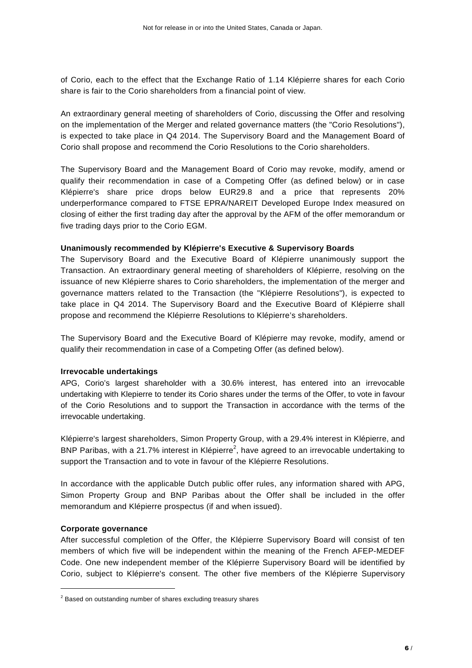of Corio, each to the effect that the Exchange Ratio of 1.14 Klépierre shares for each Corio share is fair to the Corio shareholders from a financial point of view.

An extraordinary general meeting of shareholders of Corio, discussing the Offer and resolving on the implementation of the Merger and related governance matters (the "Corio Resolutions"), is expected to take place in Q4 2014. The Supervisory Board and the Management Board of Corio shall propose and recommend the Corio Resolutions to the Corio shareholders.

The Supervisory Board and the Management Board of Corio may revoke, modify, amend or qualify their recommendation in case of a Competing Offer (as defined below) or in case Klépierre's share price drops below EUR29.8 and a price that represents 20% underperformance compared to FTSE EPRA/NAREIT Developed Europe Index measured on closing of either the first trading day after the approval by the AFM of the offer memorandum or five trading days prior to the Corio EGM.

### **Unanimously recommended by Klépierre's Executive & Supervisory Boards**

The Supervisory Board and the Executive Board of Klépierre unanimously support the Transaction. An extraordinary general meeting of shareholders of Klépierre, resolving on the issuance of new Klépierre shares to Corio shareholders, the implementation of the merger and governance matters related to the Transaction (the "Klépierre Resolutions"), is expected to take place in Q4 2014. The Supervisory Board and the Executive Board of Klépierre shall propose and recommend the Klépierre Resolutions to Klépierre's shareholders.

The Supervisory Board and the Executive Board of Klépierre may revoke, modify, amend or qualify their recommendation in case of a Competing Offer (as defined below).

# **Irrevocable undertakings**

APG, Corio's largest shareholder with a 30.6% interest, has entered into an irrevocable undertaking with Klepierre to tender its Corio shares under the terms of the Offer, to vote in favour of the Corio Resolutions and to support the Transaction in accordance with the terms of the irrevocable undertaking.

Klépierre's largest shareholders, Simon Property Group, with a 29.4% interest in Klépierre, and BNP Paribas, with a 21.7% interest in Klépierre<sup>2</sup>, have agreed to an irrevocable undertaking to support the Transaction and to vote in favour of the Klépierre Resolutions.

In accordance with the applicable Dutch public offer rules, any information shared with APG, Simon Property Group and BNP Paribas about the Offer shall be included in the offer memorandum and Klépierre prospectus (if and when issued).

#### **Corporate governance**

 $\overline{a}$ 

After successful completion of the Offer, the Klépierre Supervisory Board will consist of ten members of which five will be independent within the meaning of the French AFEP-MEDEF Code. One new independent member of the Klépierre Supervisory Board will be identified by Corio, subject to Klépierre's consent. The other five members of the Klépierre Supervisory

 $2$  Based on outstanding number of shares excluding treasury shares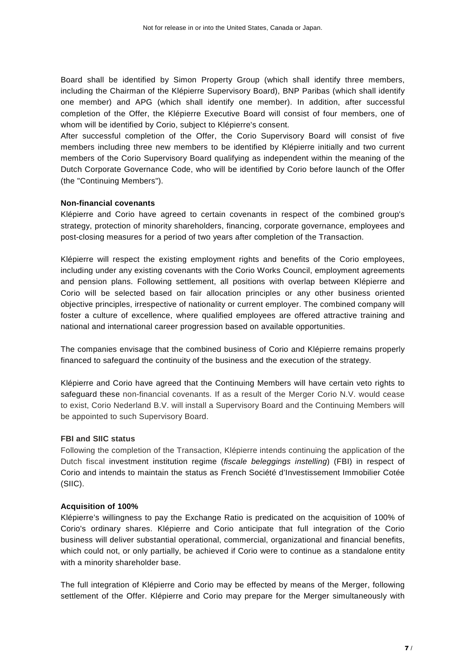Board shall be identified by Simon Property Group (which shall identify three members, including the Chairman of the Klépierre Supervisory Board), BNP Paribas (which shall identify one member) and APG (which shall identify one member). In addition, after successful completion of the Offer, the Klépierre Executive Board will consist of four members, one of whom will be identified by Corio, subject to Klépierre's consent.

After successful completion of the Offer, the Corio Supervisory Board will consist of five members including three new members to be identified by Klépierre initially and two current members of the Corio Supervisory Board qualifying as independent within the meaning of the Dutch Corporate Governance Code, who will be identified by Corio before launch of the Offer (the "Continuing Members").

# **Non-financial covenants**

Klépierre and Corio have agreed to certain covenants in respect of the combined group's strategy, protection of minority shareholders, financing, corporate governance, employees and post-closing measures for a period of two years after completion of the Transaction.

Klépierre will respect the existing employment rights and benefits of the Corio employees, including under any existing covenants with the Corio Works Council, employment agreements and pension plans. Following settlement, all positions with overlap between Klépierre and Corio will be selected based on fair allocation principles or any other business oriented objective principles, irrespective of nationality or current employer. The combined company will foster a culture of excellence, where qualified employees are offered attractive training and national and international career progression based on available opportunities.

The companies envisage that the combined business of Corio and Klépierre remains properly financed to safeguard the continuity of the business and the execution of the strategy.

Klépierre and Corio have agreed that the Continuing Members will have certain veto rights to safeguard these non-financial covenants. If as a result of the Merger Corio N.V. would cease to exist, Corio Nederland B.V. will install a Supervisory Board and the Continuing Members will be appointed to such Supervisory Board.

# **FBI and SIIC status**

Following the completion of the Transaction, Klépierre intends continuing the application of the Dutch fiscal investment institution regime (fiscale beleggings instelling) (FBI) in respect of Corio and intends to maintain the status as French Société d'Investissement Immobilier Cotée (SIIC).

# **Acquisition of 100%**

Klépierre's willingness to pay the Exchange Ratio is predicated on the acquisition of 100% of Corio's ordinary shares. Klépierre and Corio anticipate that full integration of the Corio business will deliver substantial operational, commercial, organizational and financial benefits, which could not, or only partially, be achieved if Corio were to continue as a standalone entity with a minority shareholder base.

The full integration of Klépierre and Corio may be effected by means of the Merger, following settlement of the Offer. Klépierre and Corio may prepare for the Merger simultaneously with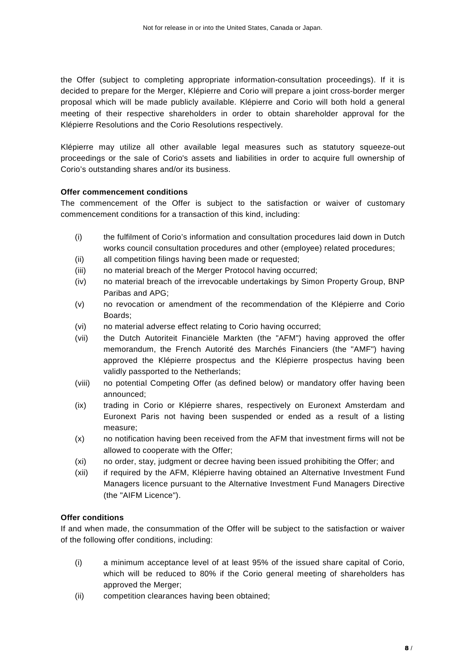the Offer (subject to completing appropriate information-consultation proceedings). If it is decided to prepare for the Merger, Klépierre and Corio will prepare a joint cross-border merger proposal which will be made publicly available. Klépierre and Corio will both hold a general meeting of their respective shareholders in order to obtain shareholder approval for the Klépierre Resolutions and the Corio Resolutions respectively.

Klépierre may utilize all other available legal measures such as statutory squeeze-out proceedings or the sale of Corio's assets and liabilities in order to acquire full ownership of Corio's outstanding shares and/or its business.

# **Offer commencement conditions**

The commencement of the Offer is subject to the satisfaction or waiver of customary commencement conditions for a transaction of this kind, including:

- (i) the fulfilment of Corio's information and consultation procedures laid down in Dutch works council consultation procedures and other (employee) related procedures;
- (ii) all competition filings having been made or requested;
- (iii) no material breach of the Merger Protocol having occurred;
- (iv) no material breach of the irrevocable undertakings by Simon Property Group, BNP Paribas and APG;
- (v) no revocation or amendment of the recommendation of the Klépierre and Corio Boards;
- (vi) no material adverse effect relating to Corio having occurred;
- (vii) the Dutch Autoriteit Financiële Markten (the "AFM") having approved the offer memorandum, the French Autorité des Marchés Financiers (the "AMF") having approved the Klépierre prospectus and the Klépierre prospectus having been validly passported to the Netherlands;
- (viii) no potential Competing Offer (as defined below) or mandatory offer having been announced;
- (ix) trading in Corio or Klépierre shares, respectively on Euronext Amsterdam and Euronext Paris not having been suspended or ended as a result of a listing measure;
- (x) no notification having been received from the AFM that investment firms will not be allowed to cooperate with the Offer;
- (xi) no order, stay, judgment or decree having been issued prohibiting the Offer; and
- (xii) if required by the AFM, Klépierre having obtained an Alternative Investment Fund Managers licence pursuant to the Alternative Investment Fund Managers Directive (the "AIFM Licence").

# **Offer conditions**

If and when made, the consummation of the Offer will be subject to the satisfaction or waiver of the following offer conditions, including:

- (i) a minimum acceptance level of at least 95% of the issued share capital of Corio, which will be reduced to 80% if the Corio general meeting of shareholders has approved the Merger;
- (ii) competition clearances having been obtained;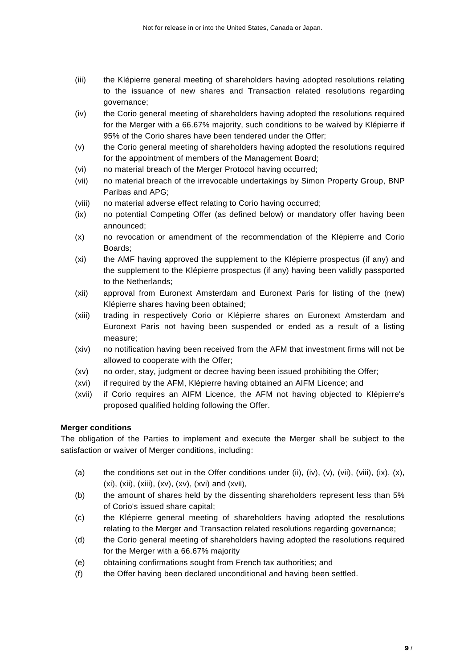- (iii) the Klépierre general meeting of shareholders having adopted resolutions relating to the issuance of new shares and Transaction related resolutions regarding governance;
- (iv) the Corio general meeting of shareholders having adopted the resolutions required for the Merger with a 66.67% majority, such conditions to be waived by Klépierre if 95% of the Corio shares have been tendered under the Offer;
- (v) the Corio general meeting of shareholders having adopted the resolutions required for the appointment of members of the Management Board;
- (vi) no material breach of the Merger Protocol having occurred;
- (vii) no material breach of the irrevocable undertakings by Simon Property Group, BNP Paribas and APG;
- (viii) no material adverse effect relating to Corio having occurred;
- (ix) no potential Competing Offer (as defined below) or mandatory offer having been announced;
- (x) no revocation or amendment of the recommendation of the Klépierre and Corio Boards;
- (xi) the AMF having approved the supplement to the Klépierre prospectus (if any) and the supplement to the Klépierre prospectus (if any) having been validly passported to the Netherlands;
- (xii) approval from Euronext Amsterdam and Euronext Paris for listing of the (new) Klépierre shares having been obtained;
- (xiii) trading in respectively Corio or Klépierre shares on Euronext Amsterdam and Euronext Paris not having been suspended or ended as a result of a listing measure;
- (xiv) no notification having been received from the AFM that investment firms will not be allowed to cooperate with the Offer;
- (xv) no order, stay, judgment or decree having been issued prohibiting the Offer;
- (xvi) if required by the AFM, Klépierre having obtained an AIFM Licence; and
- (xvii) if Corio requires an AIFM Licence, the AFM not having objected to Klépierre's proposed qualified holding following the Offer.

# **Merger conditions**

The obligation of the Parties to implement and execute the Merger shall be subject to the satisfaction or waiver of Merger conditions, including:

- (a) the conditions set out in the Offer conditions under (ii), (iv), (v), (vii), (viii), (ix), (x), (xi), (xii), (xiii), (xv), (xv), (xvi) and (xvii),
- (b) the amount of shares held by the dissenting shareholders represent less than 5% of Corio's issued share capital;
- (c) the Klépierre general meeting of shareholders having adopted the resolutions relating to the Merger and Transaction related resolutions regarding governance;
- (d) the Corio general meeting of shareholders having adopted the resolutions required for the Merger with a 66.67% majority
- (e) obtaining confirmations sought from French tax authorities; and
- (f) the Offer having been declared unconditional and having been settled.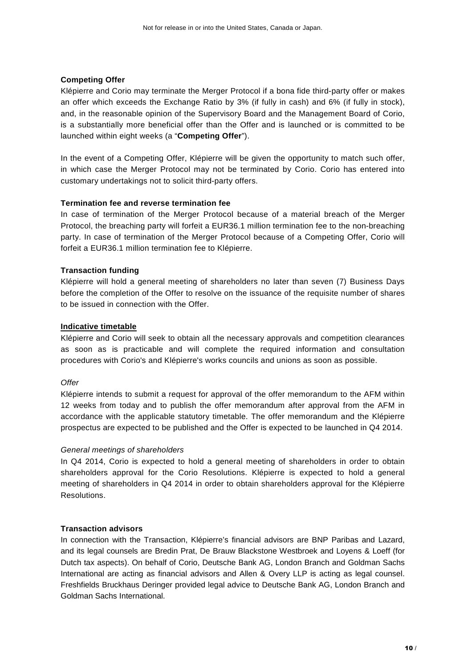### **Competing Offer**

Klépierre and Corio may terminate the Merger Protocol if a bona fide third-party offer or makes an offer which exceeds the Exchange Ratio by 3% (if fully in cash) and 6% (if fully in stock), and, in the reasonable opinion of the Supervisory Board and the Management Board of Corio, is a substantially more beneficial offer than the Offer and is launched or is committed to be launched within eight weeks (a "**Competing Offer**").

In the event of a Competing Offer, Klépierre will be given the opportunity to match such offer, in which case the Merger Protocol may not be terminated by Corio. Corio has entered into customary undertakings not to solicit third-party offers.

#### **Termination fee and reverse termination fee**

In case of termination of the Merger Protocol because of a material breach of the Merger Protocol, the breaching party will forfeit a EUR36.1 million termination fee to the non-breaching party. In case of termination of the Merger Protocol because of a Competing Offer, Corio will forfeit a EUR36.1 million termination fee to Klépierre.

### **Transaction funding**

Klépierre will hold a general meeting of shareholders no later than seven (7) Business Days before the completion of the Offer to resolve on the issuance of the requisite number of shares to be issued in connection with the Offer.

### **Indicative timetable**

Klépierre and Corio will seek to obtain all the necessary approvals and competition clearances as soon as is practicable and will complete the required information and consultation procedures with Corio's and Klépierre's works councils and unions as soon as possible.

#### **Offer**

Klépierre intends to submit a request for approval of the offer memorandum to the AFM within 12 weeks from today and to publish the offer memorandum after approval from the AFM in accordance with the applicable statutory timetable. The offer memorandum and the Klépierre prospectus are expected to be published and the Offer is expected to be launched in Q4 2014.

# General meetings of shareholders

In Q4 2014, Corio is expected to hold a general meeting of shareholders in order to obtain shareholders approval for the Corio Resolutions. Klépierre is expected to hold a general meeting of shareholders in Q4 2014 in order to obtain shareholders approval for the Klépierre Resolutions.

#### **Transaction advisors**

In connection with the Transaction, Klépierre's financial advisors are BNP Paribas and Lazard, and its legal counsels are Bredin Prat, De Brauw Blackstone Westbroek and Loyens & Loeff (for Dutch tax aspects). On behalf of Corio, Deutsche Bank AG, London Branch and Goldman Sachs International are acting as financial advisors and Allen & Overy LLP is acting as legal counsel. Freshfields Bruckhaus Deringer provided legal advice to Deutsche Bank AG, London Branch and Goldman Sachs International.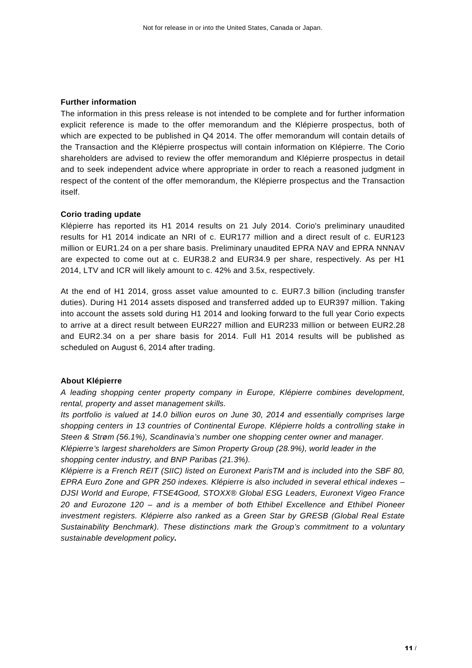#### **Further information**

The information in this press release is not intended to be complete and for further information explicit reference is made to the offer memorandum and the Klépierre prospectus, both of which are expected to be published in Q4 2014. The offer memorandum will contain details of the Transaction and the Klépierre prospectus will contain information on Klépierre. The Corio shareholders are advised to review the offer memorandum and Klépierre prospectus in detail and to seek independent advice where appropriate in order to reach a reasoned judgment in respect of the content of the offer memorandum, the Klépierre prospectus and the Transaction itself.

#### **Corio trading update**

Klépierre has reported its H1 2014 results on 21 July 2014. Corio's preliminary unaudited results for H1 2014 indicate an NRI of c. EUR177 million and a direct result of c. EUR123 million or EUR1.24 on a per share basis. Preliminary unaudited EPRA NAV and EPRA NNNAV are expected to come out at c. EUR38.2 and EUR34.9 per share, respectively. As per H1 2014, LTV and ICR will likely amount to c. 42% and 3.5x, respectively.

At the end of H1 2014, gross asset value amounted to c. EUR7.3 billion (including transfer duties). During H1 2014 assets disposed and transferred added up to EUR397 million. Taking into account the assets sold during H1 2014 and looking forward to the full year Corio expects to arrive at a direct result between EUR227 million and EUR233 million or between EUR2.28 and EUR2.34 on a per share basis for 2014. Full H1 2014 results will be published as scheduled on August 6, 2014 after trading.

#### **About Klépierre**

A leading shopping center property company in Europe, Klépierre combines development, rental, property and asset management skills.

Its portfolio is valued at 14.0 billion euros on June 30, 2014 and essentially comprises large shopping centers in 13 countries of Continental Europe. Klépierre holds a controlling stake in Steen & Strøm (56.1%), Scandinavia's number one shopping center owner and manager. Klépierre's largest shareholders are Simon Property Group (28.9%), world leader in the shopping center industry, and BNP Paribas (21.3%).

Klépierre is a French REIT (SIIC) listed on Euronext ParisTM and is included into the SBF 80, EPRA Euro Zone and GPR 250 indexes. Klépierre is also included in several ethical indexes – DJSI World and Europe, FTSE4Good, STOXX® Global ESG Leaders, Euronext Vigeo France 20 and Eurozone 120 – and is a member of both Ethibel Excellence and Ethibel Pioneer investment registers. Klépierre also ranked as a Green Star by GRESB (Global Real Estate Sustainability Benchmark). These distinctions mark the Group's commitment to a voluntary sustainable development policy**.**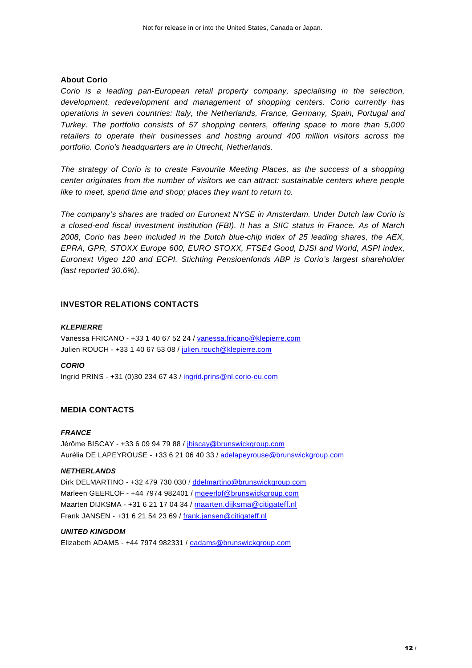#### **About Corio**

Corio is a leading pan-European retail property company, specialising in the selection, development, redevelopment and management of shopping centers. Corio currently has operations in seven countries: Italy, the Netherlands, France, Germany, Spain, Portugal and Turkey. The portfolio consists of 57 shopping centers, offering space to more than 5,000 retailers to operate their businesses and hosting around 400 million visitors across the portfolio. Corio's headquarters are in Utrecht, Netherlands.

The strategy of Corio is to create Favourite Meeting Places, as the success of a shopping center originates from the number of visitors we can attract: sustainable centers where people like to meet, spend time and shop; places they want to return to.

The company's shares are traded on Euronext NYSE in Amsterdam. Under Dutch law Corio is a closed-end fiscal investment institution (FBI). It has a SIIC status in France. As of March 2008, Corio has been included in the Dutch blue-chip index of 25 leading shares, the AEX, EPRA, GPR, STOXX Europe 600, EURO STOXX, FTSE4 Good, DJSI and World, ASPI index, Euronext Vigeo 120 and ECPI. Stichting Pensioenfonds ABP is Corio's largest shareholder (last reported 30.6%).

### **INVESTOR RELATIONS CONTACTS**

#### **KLEPIERRE**

Vanessa FRICANO - +33 1 40 67 52 24 / vanessa.fricano@klepierre.com Julien ROUCH - +33 1 40 67 53 08 / julien.rouch@klepierre.com

#### **CORIO**

Ingrid PRINS - +31 (0)30 234 67 43 / ingrid.prins@nl.corio-eu.com

#### **MEDIA CONTACTS**

#### **FRANCE**

Jérôme BISCAY - +33 6 09 94 79 88 / jbiscay@brunswickgroup.com Aurélia DE LAPEYROUSE - +33 6 21 06 40 33 / adelapeyrouse@brunswickgroup.com

#### **NETHERLANDS**

Dirk DELMARTINO - +32 479 730 030 / ddelmartino@brunswickgroup.com Marleen GEERLOF - +44 7974 982401 / mgeerlof@brunswickgroup.com Maarten DIJKSMA - +31 6 21 17 04 34 / maarten.dijksma@citigateff.nl Frank JANSEN - +31 6 21 54 23 69 / frank.jansen@citigateff.nl

#### **UNITED KINGDOM**

Elizabeth ADAMS - +44 7974 982331 / eadams@brunswickgroup.com